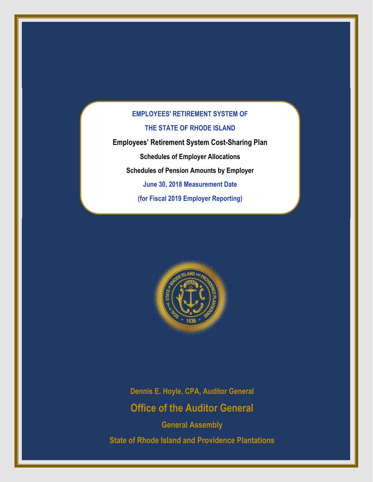**Employees' Retirement System Cost-Sharing Plan Schedules of Employer Allocations Schedules of Pension Amounts by Employer June 30, 2018 Measurement Date (for Fiscal 2019 Employer Reporting)**



**Dennis E. Hoyle, CPA, Auditor General Office of the Auditor General**

**General Assembly State of Rhode Island and Providence Plantations**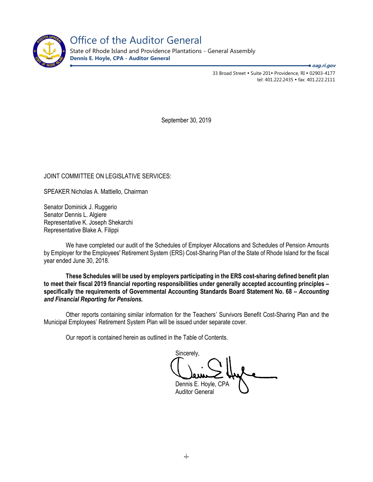

Office of the Auditor General

State of Rhode Island and Providence Plantations - General Assembly **Dennis E. Hoyle, CPA - Auditor General**

**oag.ri.gov**

33 Broad Street • Suite 201• Providence, RI • 02903-4177 tel: 401.222.2435 · fax: 401.222.2111

September 30, 2019

## JOINT COMMITTEE ON LEGISLATIVE SERVICES:

SPEAKER Nicholas A. Mattiello, Chairman

Senator Dominick J. Ruggerio Senator Dennis L. Algiere Representative K. Joseph Shekarchi Representative Blake A. Filippi

We have completed our audit of the Schedules of Employer Allocations and Schedules of Pension Amounts by Employer for the Employees' Retirement System (ERS) Cost-Sharing Plan of the State of Rhode Island for the fiscal year ended June 30, 2018.

**These Schedules will be used by employers participating in the ERS cost-sharing defined benefit plan to meet their fiscal 2019 financial reporting responsibilities under generally accepted accounting principles – specifically the requirements of Governmental Accounting Standards Board Statement No. 68 –** *Accounting and Financial Reporting for Pensions.* 

Other reports containing similar information for the Teachers' Survivors Benefit Cost-Sharing Plan and the Municipal Employees' Retirement System Plan will be issued under separate cover.

Our report is contained herein as outlined in the Table of Contents.

Sincerely, Dennis E. Hoyle, CPA Auditor General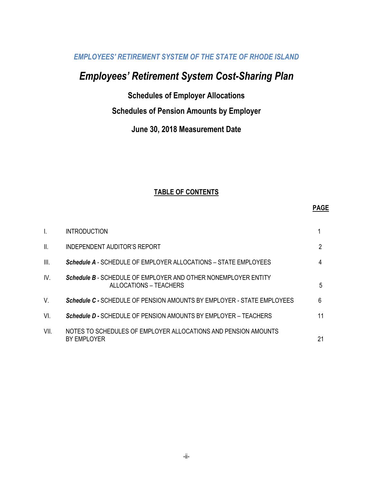# *Employees' Retirement System Cost-Sharing Plan*

**Schedules of Employer Allocations**

# **Schedules of Pension Amounts by Employer**

# **June 30, 2018 Measurement Date**

## **TABLE OF CONTENTS**

#### **PAGE**

| I.   | <b>INTRODUCTION</b>                                                                      |    |
|------|------------------------------------------------------------------------------------------|----|
| II.  | INDEPENDENT AUDITOR'S REPORT                                                             | 2  |
| III. | <b>Schedule A</b> - SCHEDULE OF EMPLOYER ALLOCATIONS – STATE EMPLOYEES                   | 4  |
| IV.  | Schedule B - SCHEDULE OF EMPLOYER AND OTHER NONEMPLOYER ENTITY<br>ALLOCATIONS – TEACHERS | 5  |
| V.   | <b>Schedule C - SCHEDULE OF PENSION AMOUNTS BY EMPLOYER - STATE EMPLOYEES</b>            | 6  |
| VI.  | <b>Schedule D - SCHEDULE OF PENSION AMOUNTS BY EMPLOYER - TEACHERS</b>                   | 11 |
| VII. | NOTES TO SCHEDULES OF EMPLOYER ALLOCATIONS AND PENSION AMOUNTS<br>BY EMPLOYER            | 21 |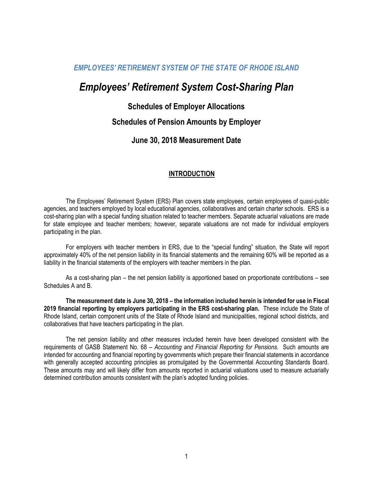# *Employees' Retirement System Cost-Sharing Plan*

## **Schedules of Employer Allocations**

## **Schedules of Pension Amounts by Employer**

## **June 30, 2018 Measurement Date**

## **INTRODUCTION**

The Employees' Retirement System (ERS) Plan covers state employees, certain employees of quasi-public agencies, and teachers employed by local educational agencies, collaboratives and certain charter schools. ERS is a cost-sharing plan with a special funding situation related to teacher members. Separate actuarial valuations are made for state employee and teacher members; however, separate valuations are not made for individual employers participating in the plan.

For employers with teacher members in ERS, due to the "special funding" situation, the State will report approximately 40% of the net pension liability in its financial statements and the remaining 60% will be reported as a liability in the financial statements of the employers with teacher members in the plan.

As a cost-sharing plan – the net pension liability is apportioned based on proportionate contributions – see Schedules A and B.

**The measurement date is June 30, 2018 – the information included herein is intended for use in Fiscal 2019 financial reporting by employers participating in the ERS cost-sharing plan.** These include the State of Rhode Island, certain component units of the State of Rhode Island and municipalities, regional school districts, and collaboratives that have teachers participating in the plan.

The net pension liability and other measures included herein have been developed consistent with the requirements of GASB Statement No. 68 – *Accounting and Financial Reporting for Pensions*. Such amounts are intended for accounting and financial reporting by governments which prepare their financial statements in accordance with generally accepted accounting principles as promulgated by the Governmental Accounting Standards Board. These amounts may and will likely differ from amounts reported in actuarial valuations used to measure actuarially determined contribution amounts consistent with the plan's adopted funding policies.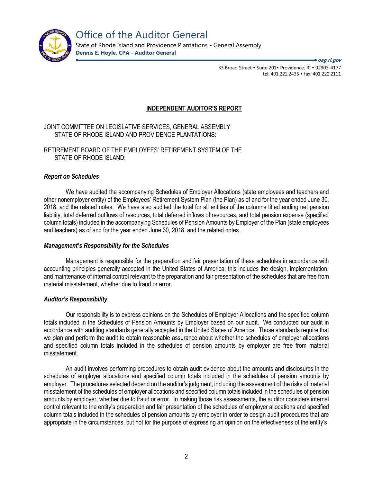

Office of the Auditor General

State of Rhode Island and Providence Plantations - General Assembly **Dennis E. Hoyle, CPA - Auditor General**

**oag.ri.gov**

33 Broad Street • Suite 201• Providence, RI • 02903-4177 tel: 401.222.2435 · fax: 401.222.2111

## **INDEPENDENT AUDITOR'S REPORT**

JOINT COMMITTEE ON LEGISLATIVE SERVICES, GENERAL ASSEMBLY STATE OF RHODE ISLAND AND PROVIDENCE PLANTATIONS:

RETIREMENT BOARD OF THE EMPLOYEES' RETIREMENT SYSTEM OF THE STATE OF RHODE ISLAND:

## *Report on Schedules*

We have audited the accompanying Schedules of Employer Allocations (state employees and teachers and other nonemployer entity) of the Employees' Retirement System Plan (the Plan) as of and for the year ended June 30, 2018, and the related notes. We have also audited the total for all entities of the columns titled ending net pension liability, total deferred outflows of resources, total deferred inflows of resources, and total pension expense (specified column totals) included in the accompanying Schedules of Pension Amounts by Employer of the Plan (state employees and teachers) as of and for the year ended June 30, 2018, and the related notes.

## *Management's Responsibility for the Schedules*

Management is responsible for the preparation and fair presentation of these schedules in accordance with accounting principles generally accepted in the United States of America; this includes the design, implementation, and maintenance of internal control relevant to the preparation and fair presentation of the schedules that are free from material misstatement, whether due to fraud or error.

## *Auditor's Responsibility*

Our responsibility is to express opinions on the Schedules of Employer Allocations and the specified column totals included in the Schedules of Pension Amounts by Employer based on our audit. We conducted our audit in accordance with auditing standards generally accepted in the United States of America. Those standards require that we plan and perform the audit to obtain reasonable assurance about whether the schedules of employer allocations and specified column totals included in the schedules of pension amounts by employer are free from material misstatement.

An audit involves performing procedures to obtain audit evidence about the amounts and disclosures in the schedules of employer allocations and specified column totals included in the schedules of pension amounts by employer. The procedures selected depend on the auditor's judgment, including the assessment of the risks of material misstatement of the schedules of employer allocations and specified column totals included in the schedules of pension amounts by employer, whether due to fraud or error. In making those risk assessments, the auditor considers internal control relevant to the entity's preparation and fair presentation of the schedules of employer allocations and specified column totals included in the schedules of pension amounts by employer in order to design audit procedures that are appropriate in the circumstances, but not for the purpose of expressing an opinion on the effectiveness of the entity's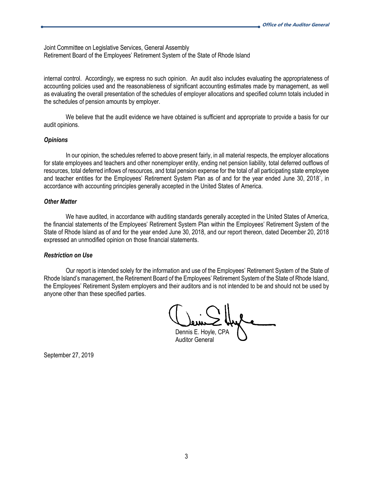Joint Committee on Legislative Services, General Assembly Retirement Board of the Employees' Retirement System of the State of Rhode Island

internal control. Accordingly, we express no such opinion. An audit also includes evaluating the appropriateness of accounting policies used and the reasonableness of significant accounting estimates made by management, as well as evaluating the overall presentation of the schedules of employer allocations and specified column totals included in the schedules of pension amounts by employer.

We believe that the audit evidence we have obtained is sufficient and appropriate to provide a basis for our audit opinions.

#### *Opinions*

In our opinion, the schedules referred to above present fairly, in all material respects, the employer allocations for state employees and teachers and other nonemployer entity, ending net pension liability, total deferred outflows of resources, total deferred inflows of resources, and total pension expense for the total of all participating state employee and teacher entities for the Employees' Retirement System Plan as of and for the year ended June 30, 2018`, in accordance with accounting principles generally accepted in the United States of America.

#### *Other Matter*

We have audited, in accordance with auditing standards generally accepted in the United States of America, the financial statements of the Employees' Retirement System Plan within the Employees' Retirement System of the State of Rhode Island as of and for the year ended June 30, 2018, and our report thereon, dated December 20, 2018 expressed an unmodified opinion on those financial statements.

## *Restriction on Use*

Our report is intended solely for the information and use of the Employees' Retirement System of the State of Rhode Island's management, the Retirement Board of the Employees' Retirement System of the State of Rhode Island, the Employees' Retirement System employers and their auditors and is not intended to be and should not be used by anyone other than these specified parties.

Dennis E. Hoyle, CPA

Auditor General

September 27, 2019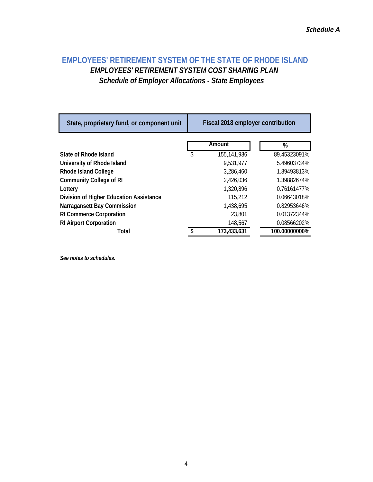# **EMPLOYEES' RETIREMENT SYSTEM OF THE STATE OF RHODE ISLAND** *EMPLOYEES' RETIREMENT SYSTEM COST SHARING PLAN Schedule of Employer Allocations - State Employees*

| State, proprietary fund, or component unit | Fiscal 2018 employer contribution |             |               |  |  |  |  |  |
|--------------------------------------------|-----------------------------------|-------------|---------------|--|--|--|--|--|
|                                            |                                   | Amount      | %             |  |  |  |  |  |
| State of Rhode Island                      | \$                                | 155,141,986 | 89.45323091%  |  |  |  |  |  |
| University of Rhode Island                 |                                   | 9,531,977   | 5.49603734%   |  |  |  |  |  |
| <b>Rhode Island College</b>                |                                   | 3,286,460   | 1.89493813%   |  |  |  |  |  |
| <b>Community College of RI</b>             |                                   | 2,426,036   | 1.39882674%   |  |  |  |  |  |
| Lottery                                    |                                   | 1,320,896   | 0.76161477%   |  |  |  |  |  |
| Division of Higher Education Assistance    |                                   | 115,212     | 0.06643018%   |  |  |  |  |  |
| Narragansett Bay Commission                |                                   | 1,438,695   | 0.82953646%   |  |  |  |  |  |
| <b>RI Commerce Corporation</b>             |                                   | 23,801      | 0.01372344%   |  |  |  |  |  |
| <b>RI Airport Corporation</b>              |                                   | 148,567     | 0.08566202%   |  |  |  |  |  |
| Total                                      |                                   | 173,433,631 | 100.00000000% |  |  |  |  |  |

*See notes to schedules.*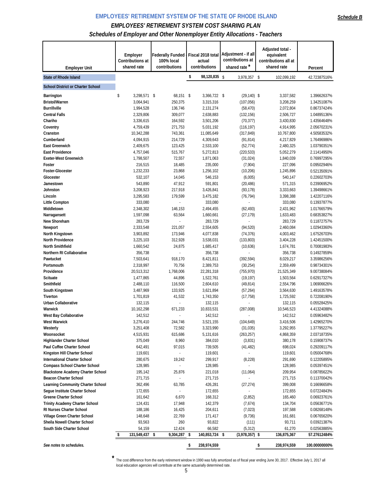## *Schedules of Employer and Other Nonemployer Entity Allocations - Teachers*

| <b>Employer Unit</b>                                           | Employer<br>Contributions at<br>shared rate | <b>Federally Funded</b><br>100% local<br>contributions | Fiscal 2018 total<br>actual<br>contributions | Adjustment - if all<br>contributions at<br>shared rate* | Adjusted total -<br>equivalent<br>contributions all at<br>shared rate | Percent                    |
|----------------------------------------------------------------|---------------------------------------------|--------------------------------------------------------|----------------------------------------------|---------------------------------------------------------|-----------------------------------------------------------------------|----------------------------|
| <b>State of Rhode Island</b>                                   |                                             |                                                        | \$<br>98,120,835 \$                          | 3,978,357 \$                                            | 102,099,192                                                           | 42.72387516%               |
|                                                                |                                             |                                                        |                                              |                                                         |                                                                       |                            |
| <b>School District or Charter School</b>                       |                                             |                                                        |                                              |                                                         |                                                                       |                            |
| Barrington                                                     | \$<br>3,298,571 \$                          | $68,151$ \$                                            | 3,366,722 \$                                 | $(29, 140)$ \$                                          | 3,337,582                                                             | 1.39662637%                |
| <b>Bristol/Warren</b>                                          | 3,064,941                                   | 250,375                                                | 3,315,316                                    | (107, 056)                                              | 3,208,259                                                             | 1.34251087%                |
| <b>Burrillville</b>                                            | 1,994,528                                   | 136,746                                                | 2,131,274                                    | (58, 470)                                               | 2,072,804                                                             | 0.86737424%                |
| <b>Central Falls</b>                                           | 2,329,806                                   | 309,077                                                | 2,638,883                                    | (132, 156)                                              | 2,506,727                                                             | 1.04895136%                |
| Chariho                                                        | 3,336,615                                   | 164,592<br>271,753                                     | 3,501,206<br>5,031,192                       | (70, 377)                                               | 3,430,830                                                             | 1.43564648%                |
| Coventry<br>Cranston                                           | 4,759,439<br>10,342,288                     | 743,361                                                | 11,085,649                                   | (116, 197)<br>(317, 849)                                | 4,914,995<br>10,767,800                                               | 2.05670231%<br>4.50583532% |
| Cumberland                                                     | 4,094,915                                   | 214,729                                                | 4,309,643                                    | (91, 814)                                               | 4,217,829                                                             | 1.76496986%                |
| <b>East Greenwich</b>                                          | 2,409,675                                   | 123,425                                                | 2,533,100                                    | (52, 774)                                               | 2,480,325                                                             | 1.03790351%                |
| <b>East Providence</b>                                         | 4,757,046                                   | 515,767                                                | 5,272,813                                    | (220, 533)                                              | 5,052,279                                                             | 2.11414950%                |
| <b>Exeter-West Greenwich</b>                                   | 1,798,507                                   | 72,557                                                 | 1,871,063                                    | (31, 024)                                               | 1,840,039                                                             | 0.76997295%                |
| Foster                                                         | 216,515                                     | 18,485                                                 | 235,000                                      | (7,904)                                                 | 227,096                                                               | 0.09502946%                |
| Foster-Glocester                                               | 1,232,233                                   | 23,868                                                 | 1,256,102                                    | (10, 206)                                               | 1,245,896                                                             | 0.52135091%                |
| Glocester                                                      | 532,107                                     | 14,045                                                 | 546,153                                      | (6,005)                                                 | 540,147                                                               | 0.22602703%                |
| Jamestown                                                      | 543,890                                     | 47,912                                                 | 591,801                                      | (20, 486)                                               | 571,315                                                               | 0.23906952%                |
| Johnston                                                       | 3,208,923                                   | 217,918                                                | 3,426,841                                    | (93, 178)                                               | 3,333,663                                                             | 1.39498661%                |
| Lincoln                                                        | 3,295,583                                   | 179,599                                                | 3,475,182                                    | (76, 794)                                               | 3,398,388                                                             | 1.42207116%                |
| Little Compton                                                 | 333,080                                     | ÷,                                                     | 333,080                                      |                                                         | 333,080                                                               | 0.13937877%                |
| Middletown                                                     | 2,348,302                                   | 146,153                                                | 2,494,455                                    | (62, 493)                                               | 2,431,962                                                             | 1.01766579%                |
| Narragansett                                                   | 1,597,098                                   | 63,564                                                 | 1,660,661                                    | (27, 179)                                               | 1,633,483                                                             | 0.68353827%                |
| New Shoreham                                                   | 283,729                                     |                                                        | 283,729                                      |                                                         | 283,729                                                               | 0.11872757%                |
| Newport                                                        | 2,333,548                                   | 221,057                                                | 2,554,605                                    | (94, 520)                                               | 2,460,084                                                             | 1.02943360%                |
| North Kingstown<br>North Providence                            | 3,903,892                                   | 173,946                                                | 4,077,838                                    | (74, 376)                                               | 4,003,462                                                             | 1.67526703%                |
| <b>North Smithfield</b>                                        | 3,225,103<br>1,660,542                      | 312,928<br>24,875                                      | 3,538,031<br>1,685,417                       | (133, 803)<br>(10,636)                                  | 3,404,228<br>1,674,781                                                | 1.42451500%<br>0.70081983% |
| Northern RI Collaborative                                      | 356,738                                     |                                                        | 356,738                                      |                                                         | 356,738                                                               | 0.14927859%                |
| Pawtucket                                                      | 7,503,641                                   | 918,170                                                | 8,421,811                                    | (392, 594)                                              | 8,029,217                                                             | 3.35986256%                |
| Portsmouth                                                     | 2,318,997                                   | 70,756                                                 | 2,389,753                                    | (30, 254)                                               | 2,359,499                                                             | 0.98734301%                |
| Providence                                                     | 20,513,312                                  | 1,768,006                                              | 22,281,318                                   | (755, 970)                                              | 21,525,349                                                            | 9.00738084%                |
| <b>Scituate</b>                                                | 1,477,865                                   | 44,896                                                 | 1,522,761                                    | (19, 197)                                               | 1,503,564                                                             | 0.62917327%                |
| Smithfield                                                     | 2,488,110                                   | 116,500                                                | 2,604,610                                    | (49, 814)                                               | 2,554,796                                                             | 1.06906626%                |
| South Kingstown                                                | 3,487,969                                   | 133,925                                                | 3,621,894                                    | (57, 264)                                               | 3,564,630                                                             | 1.49163578%                |
| Tiverton                                                       | 1,701,819                                   | 41,532                                                 | 1,743,350                                    | (17, 758)                                               | 1,725,592                                                             | 0.72208190%                |
| <b>Urban Collaborative</b>                                     | 132,115                                     |                                                        | 132,115                                      |                                                         | 132,115                                                               | 0.05528425%                |
| Warwick                                                        | 10,162,298                                  | 671,233                                                | 10,833,531                                   | (287,008)                                               | 10,546,523                                                            | 4.41324088%                |
| West Bay Collaborative                                         | 142,512                                     |                                                        | 142,512                                      |                                                         | 142,512                                                               | 0.05963482%                |
| <b>West Warwick</b>                                            | 3,276,410                                   | 244,746                                                | 3,521,155                                    | (104, 649)                                              | 3,416,506                                                             | 1.42965270%                |
| Westerly                                                       | 3,251,408                                   | 72,582                                                 | 3,323,990                                    | (31, 035)                                               | 3,292,955                                                             | 1.37795227%                |
| Woonsocket                                                     | 4,515,931                                   | 615,686                                                | 5,131,616                                    | (263, 257)                                              | 4,868,359                                                             | 2.03718735%                |
| <b>Highlander Charter School</b><br>Paul Cuffee Charter School | 375,049                                     | 8,960                                                  | 384,010                                      | (3,831)                                                 | 380,178                                                               | 0.15908737%                |
|                                                                | 642,491                                     | 97,015                                                 | 739,505                                      | (41, 482)                                               | 698,024                                                               | 0.29209117%                |
| Kingston Hill Charter School<br>International Charter School   | 119,601<br>280,675                          | 19,242                                                 | 119,601<br>299,917                           | (8,228)                                                 | 119,601<br>291,690                                                    | 0.05004768%<br>0.12205895% |
| <b>Compass School Charter School</b>                           | 128,985                                     |                                                        | 128,985                                      |                                                         | 128,985                                                               | 0.05397451%                |
| <b>Blackstone Academy Charter School</b>                       | 195,142                                     | 25,876                                                 | 221,018                                      | (11,064)                                                | 209,954                                                               | 0.08785622%                |
| <b>Beacon Charter School</b>                                   | 271,715                                     |                                                        | 271,715                                      |                                                         | 271,715                                                               | 0.11370042%                |
| Learning Community Charter School                              | 362,496                                     | 63,785                                                 | 426,281                                      | (27,274)                                                | 399,008                                                               | 0.16696658%                |
| Segue Institute Charter School                                 | 172,655                                     |                                                        | 172,655                                      | ÷,                                                      | 172,655                                                               | 0.07224843%                |
| <b>Greene Charter School</b>                                   | 161,642                                     | 6,670                                                  | 168,312                                      | (2,852)                                                 | 165,460                                                               | 0.06923761%                |
| <b>Trinity Academy Charter School</b>                          | 124,431                                     | 17,948                                                 | 142,379                                      | (7,674)                                                 | 134,704                                                               | 0.05636771%                |
| RI Nurses Charter School                                       | 188,186                                     | 16,425                                                 | 204,611                                      | (7,023)                                                 | 197,588                                                               | 0.08268148%                |
| Village Green Charter School                                   | 148,648                                     | 22,769                                                 | 171,417                                      | (9, 736)                                                | 161,681                                                               | 0.06765620%                |
| Sheila Nowell Charter School                                   | 93,563                                      | 260                                                    | 93,822                                       | (111)                                                   | 93,711                                                                | 0.03921387%                |
| South Side Charter School                                      | 54,159                                      | 12,424                                                 | 66,582                                       | (5, 312)                                                | 61,270                                                                | 0.02563885%                |
|                                                                | 131,549,437 \$<br>\$                        | 9,304,287                                              | \$<br>140,853,724                            | $(3,978,357)$ \$<br>\$                                  | 136,875,367                                                           | 57.27612484%               |
| See notes to schedules.                                        |                                             |                                                        | \$<br>238,974,559                            |                                                         | \$<br>238,974,559                                                     | 100.00000000%              |

**\*** The cost difference from the early retirement window in 1990 was fully amortized as of fiscal year ending June 30, 2017. Effective July 1, 2017 all local education agencies will contribute at the same actuarially determined rate.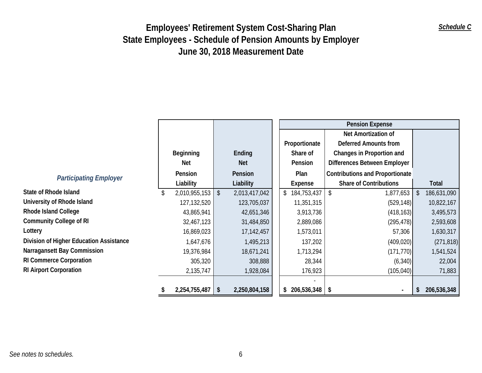|                                         |                  |                         |               |  |                            | <b>Pension Expense</b>                 |               |             |
|-----------------------------------------|------------------|-------------------------|---------------|--|----------------------------|----------------------------------------|---------------|-------------|
|                                         |                  |                         |               |  |                            | Net Amortization of                    |               |             |
|                                         |                  |                         |               |  | Proportionate              | <b>Deferred Amounts from</b>           |               |             |
|                                         | <b>Beginning</b> |                         | Ending        |  | Share of                   | Changes in Proportion and              |               |             |
|                                         | Net              |                         | <b>Net</b>    |  | Pension                    | Differences Between Employer           |               |             |
| <b>Participating Employer</b>           | Pension          |                         | Pension       |  | Plan                       | <b>Contributions and Proportionate</b> |               |             |
|                                         | Liability        |                         | Liability     |  | Expense                    | <b>Share of Contributions</b>          |               | Total       |
| <b>State of Rhode Island</b>            | 2,010,955,153    | $\sqrt{2}$              | 2,013,417,042 |  | \$184,753,437              | l \$<br>1,877,653                      | -\$           | 186,631,090 |
| University of Rhode Island              | 127,132,520      |                         | 123,705,037   |  | 11,351,315                 | (529, 148)                             |               | 10,822,167  |
| <b>Rhode Island College</b>             | 43,865,941       |                         | 42,651,346    |  | 3,913,736                  | (418, 163)                             |               | 3,495,573   |
| <b>Community College of RI</b>          | 32,467,123       |                         | 31,484,850    |  | 2,889,086                  | (295, 478)                             |               | 2,593,608   |
| Lottery                                 | 16,869,023       |                         | 17,142,457    |  | 1,573,011                  | 57,306                                 |               | 1,630,317   |
| Division of Higher Education Assistance | 1,647,676        |                         | 1,495,213     |  | 137,202                    | (409, 020)                             |               | (271, 818)  |
| Narragansett Bay Commission             | 19,376,984       |                         | 18,671,241    |  | 1,713,294                  | (171, 770)                             |               | 1,541,524   |
| <b>RI Commerce Corporation</b>          | 305,320          |                         | 308,888       |  | 28,344                     | (6, 340)                               |               | 22,004      |
| <b>RI Airport Corporation</b>           | 2,135,747        |                         | 1,928,084     |  | 176,923                    | (105, 040)                             |               | 71,883      |
|                                         |                  |                         |               |  |                            |                                        |               |             |
|                                         | 2,254,755,487    | $\sqrt[6]{\frac{1}{2}}$ | 2,250,804,158 |  | $206,536,348$ \ \ \$<br>\$ |                                        | <sup>\$</sup> | 206,536,348 |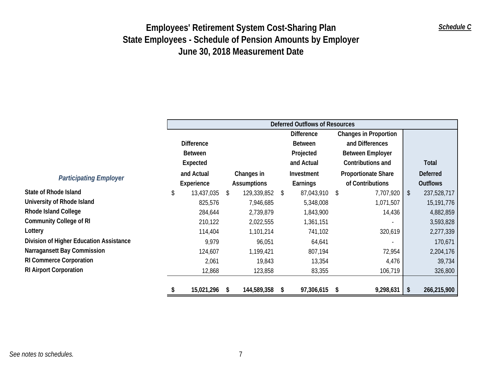|                                         |                   |     |                    |            | <b>Deferred Outflows of Resources</b> |                         |                              |               |                 |
|-----------------------------------------|-------------------|-----|--------------------|------------|---------------------------------------|-------------------------|------------------------------|---------------|-----------------|
|                                         |                   |     |                    |            | <b>Difference</b>                     |                         | <b>Changes in Proportion</b> |               |                 |
|                                         | <b>Difference</b> |     |                    |            | <b>Between</b>                        | and Differences         |                              |               |                 |
|                                         | <b>Between</b>    |     |                    | Projected  |                                       | <b>Between Employer</b> |                              |               |                 |
|                                         | Expected          |     |                    | and Actual |                                       |                         | Contributions and            |               | Total           |
| <b>Participating Employer</b>           | and Actual        |     | Changes in         |            | Investment                            |                         | <b>Proportionate Share</b>   |               | <b>Deferred</b> |
|                                         | Experience        |     | <b>Assumptions</b> |            | <b>Earnings</b>                       |                         | of Contributions             |               | <b>Outflows</b> |
| <b>State of Rhode Island</b>            | \$<br>13,437,035  | \$. | 129,339,852 \$     |            | 87,043,910                            | S                       | 7,707,920                    | $\mathcal{S}$ | 237,528,717     |
| University of Rhode Island              | 825,576           |     | 7,946,685          |            | 5,348,008                             |                         | 1,071,507                    |               | 15,191,776      |
| <b>Rhode Island College</b>             | 284,644           |     | 2,739,879          |            | 1,843,900                             |                         | 14,436                       |               | 4,882,859       |
| <b>Community College of RI</b>          | 210,122           |     | 2,022,555          |            | 1,361,151                             |                         |                              |               | 3,593,828       |
| Lottery                                 | 114,404           |     | 1,101,214          |            | 741,102                               |                         | 320,619                      |               | 2,277,339       |
| Division of Higher Education Assistance | 9,979             |     | 96,051             |            | 64,641                                |                         |                              |               | 170,671         |
| Narragansett Bay Commission             | 124,607           |     | 1,199,421          |            | 807,194                               |                         | 72,954                       |               | 2,204,176       |
| <b>RI Commerce Corporation</b>          | 2,061             |     | 19,843             |            | 13,354                                |                         | 4,476                        |               | 39,734          |
| <b>RI Airport Corporation</b>           | 12,868            |     | 123,858            |            | 83,355                                |                         | 106,719                      |               | 326,800         |
|                                         | 15,021,296        | S   | 144,589,358        | -S         | 97,306,615 \$                         |                         | 9,298,631                    | \$            | 266,215,900     |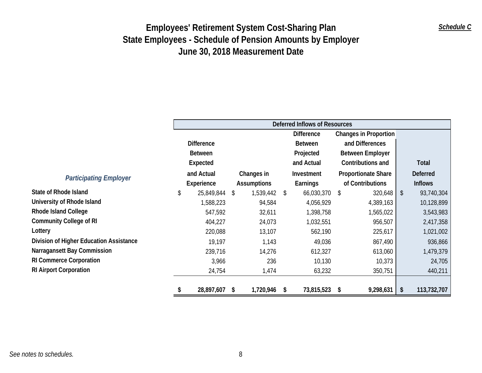|                                         |                   |    |                    |    | <b>Deferred Inflows of Resources</b> |                            |                              |                   |
|-----------------------------------------|-------------------|----|--------------------|----|--------------------------------------|----------------------------|------------------------------|-------------------|
|                                         |                   |    |                    |    | <b>Difference</b>                    |                            | <b>Changes in Proportion</b> |                   |
|                                         | <b>Difference</b> |    |                    |    | <b>Between</b>                       |                            | and Differences              |                   |
|                                         | <b>Between</b>    |    |                    |    | Projected                            |                            | <b>Between Employer</b>      |                   |
|                                         | Expected          |    |                    |    | and Actual                           | Contributions and          |                              | Total             |
| <b>Participating Employer</b>           | and Actual        |    | Changes in         |    | Investment                           | <b>Proportionate Share</b> |                              | <b>Deferred</b>   |
|                                         | Experience        |    | <b>Assumptions</b> |    | Earnings                             |                            | of Contributions             | <b>Inflows</b>    |
| <b>State of Rhode Island</b>            | \$<br>25,849,844  | \$ | 1,539,442          | \$ | 66,030,370                           | \$                         | 320,648                      | \$<br>93,740,304  |
| University of Rhode Island              | 1,588,223         |    | 94,584             |    | 4,056,929                            |                            | 4,389,163                    | 10,128,899        |
| Rhode Island College                    | 547,592           |    | 32,611             |    | 1,398,758                            |                            | 1,565,022                    | 3,543,983         |
| <b>Community College of RI</b>          | 404,227           |    | 24,073             |    | 1,032,551                            |                            | 956,507                      | 2,417,358         |
| Lottery                                 | 220,088           |    | 13,107             |    | 562,190                              |                            | 225,617                      | 1,021,002         |
| Division of Higher Education Assistance | 19,197            |    | 1,143              |    | 49,036                               |                            | 867,490                      | 936,866           |
| Narragansett Bay Commission             | 239,716           |    | 14,276             |    | 612,327                              |                            | 613,060                      | 1,479,379         |
| <b>RI Commerce Corporation</b>          | 3,966             |    | 236                |    | 10,130                               |                            | 10,373                       | 24,705            |
| <b>RI Airport Corporation</b>           | 24,754            |    | 1,474              |    | 63,232                               |                            | 350,751                      | 440,211           |
|                                         | 28,897,607 \$     |    | 1,720,946          | S  | 73,815,523 \$                        |                            | 9,298,631                    | \$<br>113,732,707 |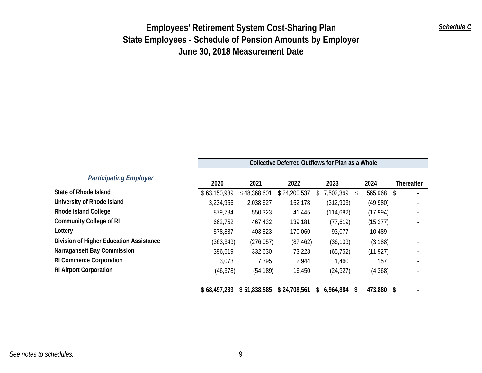|                                         | Collective Deferred Outflows for Plan as a Whole |              |              |                 |                 |                   |  |  |  |  |  |  |
|-----------------------------------------|--------------------------------------------------|--------------|--------------|-----------------|-----------------|-------------------|--|--|--|--|--|--|
| <b>Participating Employer</b>           | 2020                                             | 2021         | 2022         | 2023            | 2024            | <b>Thereafter</b> |  |  |  |  |  |  |
| State of Rhode Island                   | \$63,150,939                                     | \$48,368,601 | \$24,200,537 | 7,502,369       | 565,968<br>\$   | \$                |  |  |  |  |  |  |
| University of Rhode Island              | 3,234,956                                        | 2,038,627    | 152,178      | (312,903)       | (49,980)        |                   |  |  |  |  |  |  |
| <b>Rhode Island College</b>             | 879,784                                          | 550,323      | 41,445       | (114, 682)      | (17, 994)       |                   |  |  |  |  |  |  |
| <b>Community College of RI</b>          | 662,752                                          | 467,432      | 139,181      | (77, 619)       | (15, 277)       |                   |  |  |  |  |  |  |
| Lottery                                 | 578,887                                          | 403,823      | 170,060      | 93,077          | 10,489          |                   |  |  |  |  |  |  |
| Division of Higher Education Assistance | (363, 349)                                       | (276, 057)   | (87, 462)    | (36, 139)       | (3, 188)        |                   |  |  |  |  |  |  |
| <b>Narragansett Bay Commission</b>      | 396,619                                          | 332,630      | 73,228       | (65, 752)       | (11, 927)       |                   |  |  |  |  |  |  |
| <b>RI Commerce Corporation</b>          | 3,073                                            | 7,395        | 2,944        | 1,460           | 157             |                   |  |  |  |  |  |  |
| <b>RI Airport Corporation</b>           | (46, 378)                                        | (54, 189)    | 16,450       | (24, 927)       | (4,368)         |                   |  |  |  |  |  |  |
|                                         | \$68,497,283                                     | \$51,838,585 | \$24,708,561 | 6,964,884<br>\$ | 473,880 \$<br>S |                   |  |  |  |  |  |  |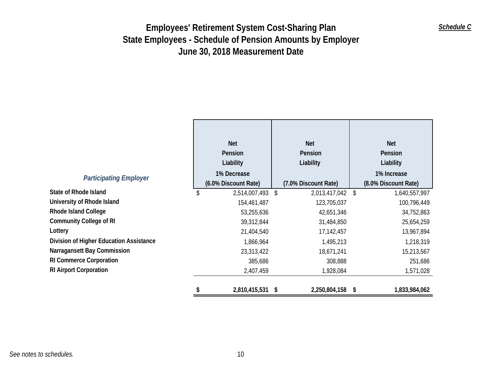|                                         | <b>Net</b><br>Pension<br>Liability  | <b>Net</b><br>Pension<br>Liability |                      |    | <b>Net</b><br>Pension<br>Liability  |
|-----------------------------------------|-------------------------------------|------------------------------------|----------------------|----|-------------------------------------|
| <b>Participating Employer</b>           | 1% Decrease<br>(6.0% Discount Rate) |                                    | (7.0% Discount Rate) |    | 1% Increase<br>(8.0% Discount Rate) |
| <b>State of Rhode Island</b>            | 2,514,007,493                       | \$                                 | 2,013,417,042        | \$ | 1,640,557,997                       |
| University of Rhode Island              | 154,461,487                         |                                    | 123,705,037          |    | 100,796,449                         |
| <b>Rhode Island College</b>             | 53,255,636                          |                                    | 42,651,346           |    | 34,752,863                          |
| <b>Community College of RI</b>          | 39,312,844                          |                                    | 31,484,850           |    | 25,654,259                          |
| Lottery                                 | 21,404,540                          |                                    | 17,142,457           |    | 13,967,894                          |
| Division of Higher Education Assistance | 1,866,964                           |                                    | 1,495,213            |    | 1,218,319                           |
| Narragansett Bay Commission             | 23,313,422                          |                                    | 18,671,241           |    | 15,213,567                          |
| <b>RI Commerce Corporation</b>          | 385,686                             |                                    | 308,888              |    | 251,686                             |
| <b>RI Airport Corporation</b>           | 2,407,459                           |                                    | 1,928,084            |    | 1,571,028                           |
|                                         | 2,810,415,531 \$                    |                                    | 2,250,804,158        | -S | 1,833,984,062                       |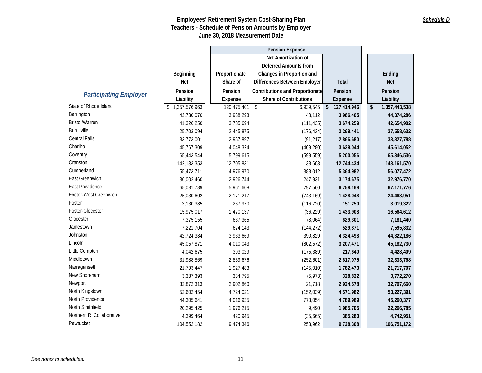|                               |               |                | <b>Pension Expense</b>                 |               |                     |
|-------------------------------|---------------|----------------|----------------------------------------|---------------|---------------------|
|                               |               |                | Net Amortization of                    |               |                     |
|                               |               |                | <b>Deferred Amounts from</b>           |               |                     |
|                               | Beginning     | Proportionate  | Changes in Proportion and              |               | Ending              |
|                               | <b>Net</b>    | Share of       | Differences Between Employer           | <b>Total</b>  | <b>Net</b>          |
|                               | Pension       | Pension        | <b>Contributions and Proportionate</b> | Pension       | Pension             |
| <b>Participating Employer</b> | Liability     | Expense        | Share of Contributions                 | Expense       | Liability           |
| State of Rhode Island         | 1,357,576,963 | 120,475,401 \$ | 6,939,545                              | \$127,414,946 | \$<br>1,357,443,538 |
| Barrington                    | 43,730,070    | 3,938,293      | 48,112                                 | 3,986,405     | 44,374,286          |
| Bristol/Warren                | 41,326,250    | 3,785,694      | (111, 435)                             | 3,674,259     | 42,654,902          |
| <b>Burrillville</b>           | 25,703,094    | 2,445,875      | (176, 434)                             | 2,269,441     | 27,558,632          |
| <b>Central Falls</b>          | 33,773,001    | 2,957,897      | (91, 217)                              | 2,866,680     | 33,327,788          |
| Chariho                       | 45,767,309    | 4,048,324      | (409, 280)                             | 3,639,044     | 45,614,052          |
| Coventry                      | 65,443,544    | 5,799,615      | (599, 559)                             | 5,200,056     | 65,346,536          |
| Cranston                      | 142, 133, 353 | 12,705,831     | 38,603                                 | 12,744,434    | 143, 161, 570       |
| Cumberland                    | 55,473,711    | 4,976,970      | 388,012                                | 5,364,982     | 56,077,472          |
| East Greenwich                | 30,002,460    | 2,926,744      | 247,931                                | 3,174,675     | 32,976,770          |
| East Providence               | 65,081,789    | 5,961,608      | 797,560                                | 6,759,168     | 67,171,776          |
| Exeter-West Greenwich         | 25,030,602    | 2,171,217      | (743, 169)                             | 1,428,048     | 24,463,951          |
| Foster                        | 3,130,385     | 267,970        | (116, 720)                             | 151,250       | 3,019,322           |
| Foster-Glocester              | 15,975,017    | 1,470,137      | (36, 229)                              | 1,433,908     | 16,564,612          |
| Glocester                     | 7,375,155     | 637,365        | (8,064)                                | 629,301       | 7,181,440           |
| Jamestown                     | 7,221,704     | 674,143        | (144, 272)                             | 529,871       | 7,595,832           |
| Johnston                      | 42,724,384    | 3,933,669      | 390,829                                | 4,324,498     | 44,322,186          |
| Lincoln                       | 45,057,871    | 4,010,043      | (802, 572)                             | 3,207,471     | 45,182,730          |
| Little Compton                | 4,042,675     | 393,029        | (175, 389)                             | 217,640       | 4,428,409           |
| Middletown                    | 31,988,869    | 2,869,676      | (252, 601)                             | 2,617,075     | 32,333,768          |
| Narragansett                  | 21,793,447    | 1,927,483      | (145, 010)                             | 1,782,473     | 21,717,707          |
| New Shoreham                  | 3,387,393     | 334,795        | (5, 973)                               | 328,822       | 3,772,270           |
| Newport                       | 32,872,313    | 2,902,860      | 21,718                                 | 2,924,578     | 32,707,660          |
| North Kingstown               | 52,602,454    | 4,724,021      | (152, 039)                             | 4,571,982     | 53,227,391          |
| North Providence              | 44,305,641    | 4,016,935      | 773,054                                | 4,789,989     | 45,260,377          |
| North Smithfield              | 20,295,425    | 1,976,215      | 9,490                                  | 1,985,705     | 22,266,785          |
| Northern RI Collaborative     | 4,399,464     | 420,945        | (35,665)                               | 385,280       | 4,742,951           |
| Pawtucket                     | 104,552,182   | 9,474,346      | 253,962                                | 9,728,308     | 106,751,172         |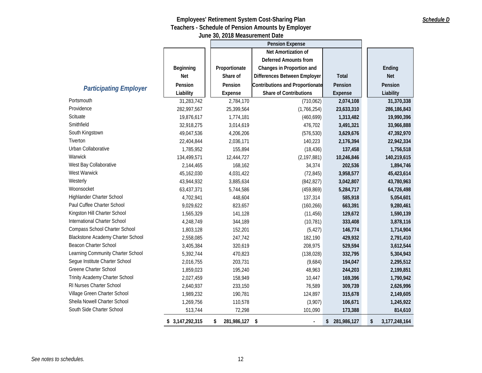|                                          |                 |                   | <b>Pension Expense</b>                 |                |                     |
|------------------------------------------|-----------------|-------------------|----------------------------------------|----------------|---------------------|
|                                          |                 |                   | Net Amortization of                    |                |                     |
|                                          |                 |                   | <b>Deferred Amounts from</b>           |                |                     |
|                                          | Beginning       | Proportionate     | Changes in Proportion and              |                | Ending              |
|                                          | <b>Net</b>      | Share of          | Differences Between Employer           | Total          | <b>Net</b>          |
|                                          | Pension         | Pension           | <b>Contributions and Proportionate</b> | Pension        | Pension             |
| <b>Participating Employer</b>            | Liability       | Expense           | <b>Share of Contributions</b>          | Expense        | Liability           |
| Portsmouth                               | 31,283,742      | 2,784,170         | (710, 062)                             | 2,074,108      | 31,370,338          |
| Providence                               | 282,997,567     | 25,399,564        | (1,766,254)                            | 23,633,310     | 286, 186, 843       |
| Scituate                                 | 19,876,617      | 1,774,181         | (460, 699)                             | 1,313,482      | 19,990,396          |
| Smithfield                               | 32,918,275      | 3,014,619         | 476,702                                | 3,491,321      | 33,966,888          |
| South Kingstown                          | 49,047,536      | 4,206,206         | (576, 530)                             | 3,629,676      | 47,392,970          |
| Tiverton                                 | 22,404,844      | 2,036,171         | 140,223                                | 2,176,394      | 22,942,334          |
| Urban Collaborative                      | 1,785,952       | 155,894           | (18, 436)                              | 137,458        | 1,756,518           |
| Warwick                                  | 134,499,571     | 12,444,727        | (2, 197, 881)                          | 10,246,846     | 140,219,615         |
| West Bay Collaborative                   | 2,144,465       | 168,162           | 34,374                                 | 202,536        | 1,894,746           |
| West Warwick                             | 45,162,030      | 4,031,422         | (72, 845)                              | 3,958,577      | 45,423,614          |
| Westerly                                 | 43,944,932      | 3,885,634         | (842, 827)                             | 3,042,807      | 43,780,963          |
| Woonsocket                               | 63,437,371      | 5,744,586         | (459, 869)                             | 5,284,717      | 64,726,498          |
| Highlander Charter School                | 4,702,941       | 448,604           | 137,314                                | 585,918        | 5,054,601           |
| Paul Cuffee Charter School               | 9,029,622       | 823,657           | (160, 266)                             | 663,391        | 9,280,461           |
| Kingston Hill Charter School             | 1,565,329       | 141,128           | (11, 456)                              | 129,672        | 1,590,139           |
| International Charter School             | 4,248,749       | 344,189           | (10, 781)                              | 333,408        | 3,878,116           |
| Compass School Charter School            | 1,803,128       | 152,201           | (5, 427)                               | 146,774        | 1,714,904           |
| <b>Blackstone Academy Charter School</b> | 2,558,085       | 247,742           | 182,190                                | 429,932        | 2,791,410           |
| Beacon Charter School                    | 3,405,384       | 320,619           | 208,975                                | 529,594        | 3,612,544           |
| Learning Community Charter School        | 5,392,744       | 470,823           | (138, 028)                             | 332,795        | 5,304,943           |
| Segue Institute Charter School           | 2,016,755       | 203,731           | (9,684)                                | 194,047        | 2,295,512           |
| Greene Charter School                    | 1,859,023       | 195,240           | 48,963                                 | 244,203        | 2,199,851           |
| Trinity Academy Charter School           | 2,027,459       | 158,949           | 10,447                                 | 169,396        | 1,790,942           |
| RI Nurses Charter School                 | 2,640,937       | 233,150           | 76,589                                 | 309,739        | 2,626,996           |
| Village Green Charter School             | 1,989,232       | 190,781           | 124,897                                | 315,678        | 2,149,605           |
| Sheila Nowell Charter School             | 1,269,756       | 110,578           | (3,907)                                | 106,671        | 1,245,922           |
| South Side Charter School                | 513,744         | 72,298            | 101,090                                | 173,388        | 814,610             |
|                                          | \$3,147,292,315 | 281,986,127<br>\$ | -\$                                    | \$ 281,986,127 | \$<br>3,177,248,164 |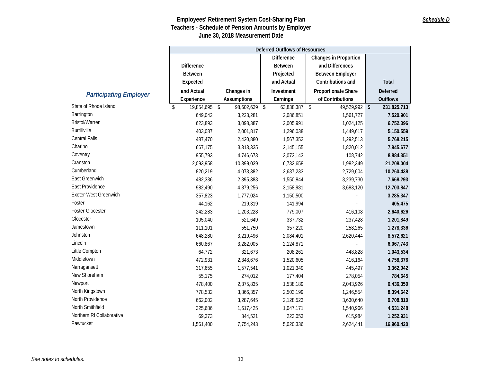## *Schedule D*

|                               |                     |                    | <b>Deferred Outflows of Resources</b> |                              |                 |
|-------------------------------|---------------------|--------------------|---------------------------------------|------------------------------|-----------------|
|                               |                     |                    | <b>Difference</b>                     | <b>Changes in Proportion</b> |                 |
|                               | <b>Difference</b>   |                    | <b>Between</b>                        | and Differences              |                 |
|                               | <b>Between</b>      |                    | Projected                             | <b>Between Employer</b>      |                 |
|                               | Expected            |                    | and Actual                            | Contributions and            | Total           |
|                               | and Actual          | Changes in         | Investment                            | Proportionate Share          | <b>Deferred</b> |
| <b>Participating Employer</b> | Experience          | <b>Assumptions</b> | Earnings                              | of Contributions             | <b>Outflows</b> |
| State of Rhode Island         | \$<br>19,854,695 \$ | 98,602,639 \$      | 63,838,387 \$                         | 49,529,992 \$                | 231,825,713     |
| Barrington                    | 649,042             | 3,223,281          | 2,086,851                             | 1,561,727                    | 7,520,901       |
| <b>Bristol/Warren</b>         | 623,893             | 3,098,387          | 2,005,991                             | 1,024,125                    | 6,752,396       |
| <b>Burrillville</b>           | 403,087             | 2,001,817          | 1,296,038                             | 1,449,617                    | 5,150,559       |
| Central Falls                 | 487,470             | 2,420,880          | 1,567,352                             | 1,292,513                    | 5,768,215       |
| Chariho                       | 667,175             | 3,313,335          | 2,145,155                             | 1,820,012                    | 7,945,677       |
| Coventry                      | 955,793             | 4,746,673          | 3,073,143                             | 108,742                      | 8,884,351       |
| Cranston                      | 2,093,958           | 10,399,039         | 6,732,658                             | 1,982,349                    | 21,208,004      |
| Cumberland                    | 820,219             | 4,073,382          | 2,637,233                             | 2,729,604                    | 10,260,438      |
| East Greenwich                | 482,336             | 2,395,383          | 1,550,844                             | 3,239,730                    | 7,668,293       |
| East Providence               | 982,490             | 4,879,256          | 3,158,981                             | 3,683,120                    | 12,703,847      |
| Exeter-West Greenwich         | 357,823             | 1,777,024          | 1,150,500                             |                              | 3,285,347       |
| Foster                        | 44,162              | 219,319            | 141,994                               |                              | 405,475         |
| Foster-Glocester              | 242,283             | 1,203,228          | 779,007                               | 416,108                      | 2,640,626       |
| Glocester                     | 105,040             | 521,649            | 337,732                               | 237,428                      | 1,201,849       |
| Jamestown                     | 111,101             | 551,750            | 357,220                               | 258,265                      | 1,278,336       |
| Johnston                      | 648,280             | 3,219,496          | 2,084,401                             | 2,620,444                    | 8,572,621       |
| Lincoln                       | 660,867             | 3,282,005          | 2,124,871                             |                              | 6,067,743       |
| Little Compton                | 64,772              | 321,673            | 208,261                               | 448,828                      | 1,043,534       |
| Middletown                    | 472,931             | 2,348,676          | 1,520,605                             | 416,164                      | 4,758,376       |
| Narragansett                  | 317,655             | 1,577,541          | 1,021,349                             | 445,497                      | 3,362,042       |
| New Shoreham                  | 55,175              | 274,012            | 177,404                               | 278,054                      | 784,645         |
| Newport                       | 478,400             | 2,375,835          | 1,538,189                             | 2,043,926                    | 6,436,350       |
| North Kingstown               | 778,532             | 3,866,357          | 2,503,199                             | 1,246,554                    | 8,394,642       |
| North Providence              | 662,002             | 3,287,645          | 2,128,523                             | 3,630,640                    | 9,708,810       |
| North Smithfield              | 325,686             | 1,617,425          | 1,047,171                             | 1,540,966                    | 4,531,248       |
| Northern RI Collaborative     | 69,373              | 344,521            | 223,053                               | 615,984                      | 1,252,931       |
| Pawtucket                     | 1,561,400           | 7,754,243          | 5,020,336                             | 2,624,441                    | 16,960,420      |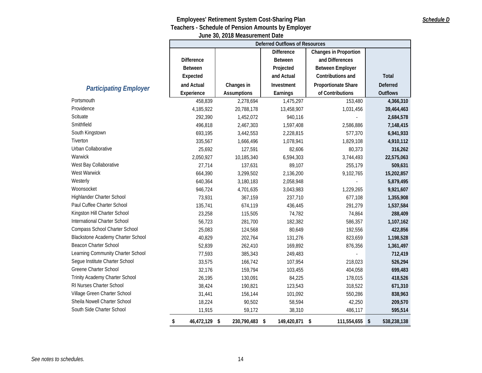|                                          |                     |                    | Deferred Outflows of Resources |                              |                 |
|------------------------------------------|---------------------|--------------------|--------------------------------|------------------------------|-----------------|
|                                          |                     |                    | <b>Difference</b>              | <b>Changes in Proportion</b> |                 |
|                                          | <b>Difference</b>   |                    | <b>Between</b>                 | and Differences              |                 |
|                                          | <b>Between</b>      |                    | Projected                      | <b>Between Employer</b>      |                 |
|                                          | Expected            |                    | and Actual                     | Contributions and            | <b>Total</b>    |
|                                          | and Actual          | Changes in         | Investment                     | Proportionate Share          | <b>Deferred</b> |
| <b>Participating Employer</b>            | Experience          | <b>Assumptions</b> | Earnings                       | of Contributions             | Outflows        |
| Portsmouth                               | 458,839             | 2,278,694          | 1,475,297                      | 153,480                      | 4,366,310       |
| Providence                               | 4,185,922           | 20,788,178         | 13,458,907                     | 1,031,456                    | 39,464,463      |
| Scituate                                 | 292,390             | 1,452,072          | 940,116                        |                              | 2,684,578       |
| Smithfield                               | 496,818             | 2,467,303          | 1,597,408                      | 2,586,886                    | 7,148,415       |
| South Kingstown                          | 693,195             | 3,442,553          | 2,228,815                      | 577,370                      | 6,941,933       |
| Tiverton                                 | 335,567             | 1,666,496          | 1,078,941                      | 1,829,108                    | 4,910,112       |
| Urban Collaborative                      | 25,692              | 127,591            | 82,606                         | 80,373                       | 316,262         |
| Warwick                                  | 2,050,927           | 10,185,340         | 6,594,303                      | 3,744,493                    | 22,575,063      |
| West Bay Collaborative                   | 27,714              | 137,631            | 89,107                         | 255,179                      | 509,631         |
| West Warwick                             | 664,390             | 3,299,502          | 2,136,200                      | 9,102,765                    | 15,202,857      |
| Westerly                                 | 640,364             | 3,180,183          | 2,058,948                      |                              | 5,879,495       |
| Woonsocket                               | 946,724             | 4,701,635          | 3,043,983                      | 1,229,265                    | 9,921,607       |
| Highlander Charter School                | 73,931              | 367,159            | 237,710                        | 677,108                      | 1,355,908       |
| Paul Cuffee Charter School               | 135,741             | 674,119            | 436,445                        | 291,279                      | 1,537,584       |
| Kingston Hill Charter School             | 23,258              | 115,505            | 74,782                         | 74,864                       | 288,409         |
| International Charter School             | 56,723              | 281,700            | 182,382                        | 586,357                      | 1,107,162       |
| Compass School Charter School            | 25,083              | 124,568            | 80,649                         | 192,556                      | 422,856         |
| <b>Blackstone Academy Charter School</b> | 40,829              | 202,764            | 131,276                        | 823,659                      | 1,198,528       |
| <b>Beacon Charter School</b>             | 52,839              | 262,410            | 169,892                        | 876,356                      | 1,361,497       |
| Learning Community Charter School        | 77,593              | 385,343            | 249,483                        | $\Box$                       | 712,419         |
| Segue Institute Charter School           | 33,575              | 166,742            | 107,954                        | 218,023                      | 526,294         |
| Greene Charter School                    | 32,176              | 159,794            | 103,455                        | 404,058                      | 699,483         |
| Trinity Academy Charter School           | 26,195              | 130,091            | 84,225                         | 178,015                      | 418,526         |
| RI Nurses Charter School                 | 38,424              | 190,821            | 123,543                        | 318,522                      | 671,310         |
| Village Green Charter School             | 31,441              | 156,144            | 101,092                        | 550,286                      | 838,963         |
| Sheila Nowell Charter School             | 18,224              | 90,502             | 58,594                         | 42,250                       | 209,570         |
| South Side Charter School                | 11,915              | 59,172             | 38,310                         | 486,117                      | 595,514         |
|                                          | 46,472,129 \$<br>\$ | 230,790,483 \$     | 149,420,871 \$                 | 111,554,655 \$               | 538,238,138     |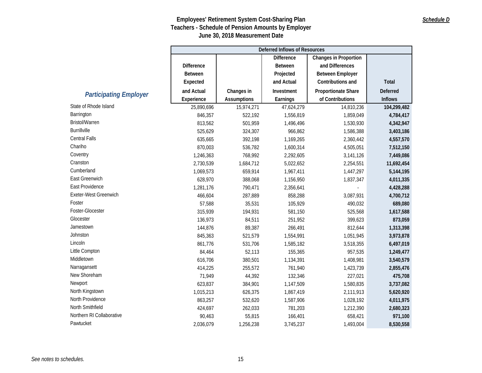### *Schedule D*

|                               | <b>Deferred Inflows of Resources</b>              |             |                |                            |                |  |  |
|-------------------------------|---------------------------------------------------|-------------|----------------|----------------------------|----------------|--|--|
|                               | <b>Difference</b><br><b>Changes in Proportion</b> |             |                |                            |                |  |  |
|                               | <b>Difference</b>                                 |             | <b>Between</b> | and Differences            |                |  |  |
|                               | <b>Between</b>                                    |             | Projected      | <b>Between Employer</b>    |                |  |  |
|                               | Expected                                          |             | and Actual     | Contributions and          | Total          |  |  |
|                               | and Actual                                        | Changes in  | Investment     | <b>Proportionate Share</b> | Deferred       |  |  |
| <b>Participating Employer</b> | Experience                                        | Assumptions | Earnings       | of Contributions           | <b>Inflows</b> |  |  |
| State of Rhode Island         | 25,890,696                                        | 15,974,271  | 47,624,279     | 14,810,236                 | 104,299,482    |  |  |
| Barrington                    | 846,357                                           | 522,192     | 1,556,819      | 1,859,049                  | 4,784,417      |  |  |
| Bristol/Warren                | 813,562                                           | 501,959     | 1,496,496      | 1,530,930                  | 4,342,947      |  |  |
| <b>Burrillville</b>           | 525,629                                           | 324,307     | 966,862        | 1,586,388                  | 3,403,186      |  |  |
| Central Falls                 | 635,665                                           | 392,198     | 1,169,265      | 2,360,442                  | 4,557,570      |  |  |
| Chariho                       | 870,003                                           | 536,782     | 1,600,314      | 4,505,051                  | 7,512,150      |  |  |
| Coventry                      | 1,246,363                                         | 768,992     | 2,292,605      | 3,141,126                  | 7,449,086      |  |  |
| Cranston                      | 2,730,539                                         | 1,684,712   | 5,022,652      | 2,254,551                  | 11,692,454     |  |  |
| Cumberland                    | 1,069,573                                         | 659,914     | 1,967,411      | 1,447,297                  | 5,144,195      |  |  |
| East Greenwich                | 628,970                                           | 388,068     | 1,156,950      | 1,837,347                  | 4,011,335      |  |  |
| East Providence               | 1,281,176                                         | 790,471     | 2,356,641      |                            | 4,428,288      |  |  |
| Exeter-West Greenwich         | 466,604                                           | 287,889     | 858,288        | 3,087,931                  | 4,700,712      |  |  |
| Foster                        | 57,588                                            | 35,531      | 105,929        | 490,032                    | 689,080        |  |  |
| Foster-Glocester              | 315,939                                           | 194,931     | 581,150        | 525,568                    | 1,617,588      |  |  |
| Glocester                     | 136,973                                           | 84,511      | 251,952        | 399,623                    | 873,059        |  |  |
| Jamestown                     | 144,876                                           | 89,387      | 266,491        | 812,644                    | 1,313,398      |  |  |
| Johnston                      | 845,363                                           | 521,579     | 1,554,991      | 1,051,945                  | 3,973,878      |  |  |
| Lincoln                       | 861,776                                           | 531,706     | 1,585,182      | 3,518,355                  | 6,497,019      |  |  |
| Little Compton                | 84,464                                            | 52,113      | 155,365        | 957,535                    | 1,249,477      |  |  |
| Middletown                    | 616,706                                           | 380,501     | 1,134,391      | 1,408,981                  | 3,540,579      |  |  |
| Narragansett                  | 414,225                                           | 255,572     | 761,940        | 1,423,739                  | 2,855,476      |  |  |
| New Shoreham                  | 71,949                                            | 44,392      | 132,346        | 227,021                    | 475,708        |  |  |
| Newport                       | 623,837                                           | 384,901     | 1,147,509      | 1,580,835                  | 3,737,082      |  |  |
| North Kingstown               | 1,015,213                                         | 626,375     | 1,867,419      | 2,111,913                  | 5,620,920      |  |  |
| North Providence              | 863,257                                           | 532,620     | 1,587,906      | 1,028,192                  | 4,011,975      |  |  |
| North Smithfield              | 424,697                                           | 262,033     | 781,203        | 1,212,390                  | 2,680,323      |  |  |
| Northern RI Collaborative     | 90,463                                            | 55,815      | 166,401        | 658,421                    | 971,100        |  |  |
| Pawtucket                     | 2,036,079                                         | 1,256,238   | 3,745,237      | 1,493,004                  | 8,530,558      |  |  |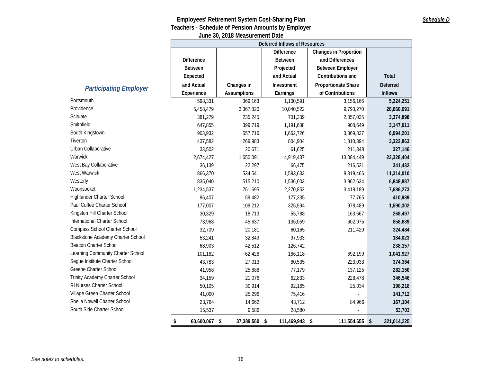|                                          | <b>Deferred Inflows of Resources</b> |                                                   |                |                         |                 |  |  |  |
|------------------------------------------|--------------------------------------|---------------------------------------------------|----------------|-------------------------|-----------------|--|--|--|
|                                          |                                      | <b>Difference</b><br><b>Changes in Proportion</b> |                |                         |                 |  |  |  |
|                                          | <b>Difference</b>                    |                                                   | Between        | and Differences         |                 |  |  |  |
|                                          | <b>Between</b>                       |                                                   | Projected      | <b>Between Employer</b> |                 |  |  |  |
|                                          | Expected                             |                                                   | and Actual     | Contributions and       | Total           |  |  |  |
| <b>Participating Employer</b>            | and Actual                           | Changes in                                        | Investment     | Proportionate Share     | <b>Deferred</b> |  |  |  |
|                                          | Experience                           | <b>Assumptions</b>                                | Earnings       | of Contributions        | <b>Inflows</b>  |  |  |  |
| Portsmouth                               | 598,331                              | 369,163                                           | 1,100,591      | 3,156,166               | 5,224,251       |  |  |  |
| Providence                               | 5,458,479                            | 3,367,820                                         | 10,040,522     | 9,793,270               | 28,660,091      |  |  |  |
| Scituate                                 | 381,279                              | 235,245                                           | 701,339        | 2,057,035               | 3,374,898       |  |  |  |
| Smithfield                               | 647,855                              | 399,719                                           | 1,191,688      | 908,649                 | 3,147,911       |  |  |  |
| South Kingstown                          | 903,932                              | 557,716                                           | 1,662,726      | 3,869,827               | 6,994,201       |  |  |  |
| Tiverton                                 | 437,582                              | 269,983                                           | 804,904        | 1,810,394               | 3,322,863       |  |  |  |
| Urban Collaborative                      | 33,502                               | 20,671                                            | 61,625         | 211,348                 | 327,146         |  |  |  |
| Warwick                                  | 2,674,427                            | 1,650,091                                         | 4,919,437      | 13,084,449              | 22,328,404      |  |  |  |
| West Bay Collaborative                   | 36,139                               | 22,297                                            | 66,475         | 216,521                 | 341,432         |  |  |  |
| West Warwick                             | 866,370                              | 534,541                                           | 1,593,633      | 8,319,466               | 11,314,010      |  |  |  |
| Westerly                                 | 835,040                              | 515,210                                           | 1,536,003      | 3,962,634               | 6,848,887       |  |  |  |
| Woonsocket                               | 1,234,537                            | 761,695                                           | 2,270,852      | 3,419,189               | 7,686,273       |  |  |  |
| Highlander Charter School                | 96,407                               | 59,482                                            | 177,335        | 77,765                  | 410,989         |  |  |  |
| Paul Cuffee Charter School               | 177,007                              | 109,212                                           | 325,594        | 978,489                 | 1,590,302       |  |  |  |
| Kingston Hill Charter School             | 30,329                               | 18,713                                            | 55,788         | 163,667                 | 268,497         |  |  |  |
| International Charter School             | 73,968                               | 45,637                                            | 136,059        | 602,975                 | 858,639         |  |  |  |
| Compass School Charter School            | 32,709                               | 20,181                                            | 60,165         | 211,429                 | 324,484         |  |  |  |
| <b>Blackstone Academy Charter School</b> | 53,241                               | 32,849                                            | 97,933         |                         | 184,023         |  |  |  |
| Beacon Charter School                    | 68,903                               | 42,512                                            | 126,742        |                         | 238,157         |  |  |  |
| Learning Community Charter School        | 101,182                              | 62,428                                            | 186,118        | 692,199                 | 1,041,927       |  |  |  |
| Segue Institute Charter School           | 43,783                               | 27,013                                            | 80,535         | 223,033                 | 374,364         |  |  |  |
| Greene Charter School                    | 41,958                               | 25,888                                            | 77,179         | 137,125                 | 282,150         |  |  |  |
| Trinity Academy Charter School           | 34,159                               | 21,076                                            | 62,833         | 228,478                 | 346,546         |  |  |  |
| RI Nurses Charter School                 | 50,105                               | 30,914                                            | 92,165         | 25,034                  | 198,218         |  |  |  |
| Village Green Charter School             | 41,000                               | 25,296                                            | 75,416         | ×.                      | 141,712         |  |  |  |
| Sheila Nowell Charter School             | 23,764                               | 14,662                                            | 43,712         | 84,966                  | 167,104         |  |  |  |
| South Side Charter School                | 15,537                               | 9,586                                             | 28,580         |                         | 53,703          |  |  |  |
|                                          | \$<br>60,600,067 \$                  | 37,389,560 \$                                     | 111,469,943 \$ | 111,554,655 \$          | 321,014,225     |  |  |  |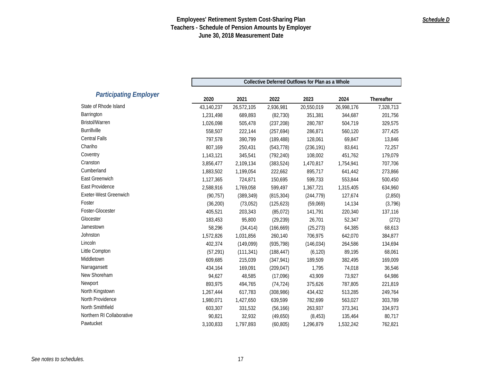|                               | Collective Deferred Outflows for Plan as a Whole |                    |                          |                    |                    |                         |  |
|-------------------------------|--------------------------------------------------|--------------------|--------------------------|--------------------|--------------------|-------------------------|--|
| <b>Participating Employer</b> |                                                  |                    |                          |                    |                    |                         |  |
| State of Rhode Island         | 2020<br>43,140,237                               | 2021<br>26,572,105 | 2022<br>2,936,981        | 2023<br>20,550,019 | 2024<br>26,998,176 | Thereafter<br>7,328,713 |  |
| Barrington                    | 1,231,498                                        | 689,893            | (82, 730)                | 351,381            | 344,687            | 201,756                 |  |
| <b>Bristol/Warren</b>         | 1,026,098                                        | 505,478            | (237, 208)               | 280,787            | 504,719            | 329,575                 |  |
| Burrillville                  |                                                  |                    |                          |                    |                    |                         |  |
| <b>Central Falls</b>          | 558,507<br>797,578                               | 222,144<br>390,799 | (257, 694)<br>(189, 488) | 286,871<br>128,061 | 560,120<br>69,847  | 377,425<br>13,846       |  |
| Chariho                       |                                                  |                    |                          |                    |                    |                         |  |
| Coventry                      | 807,169                                          | 250,431            | (543, 778)               | (236, 191)         | 83,641             | 72,257                  |  |
| Cranston                      | 1,143,121                                        | 345,541            | (792, 240)               | 108,002            | 451,762            | 179,079                 |  |
| Cumberland                    | 3,856,477                                        | 2,109,134          | (383, 524)               | 1,470,817          | 1,754,941          | 707,706                 |  |
| East Greenwich                | 1,883,502                                        | 1,199,054          | 222,662                  | 895,717            | 641,442            | 273,866                 |  |
|                               | 1,127,365                                        | 724,871            | 150,695                  | 599,733            | 553,844            | 500,450                 |  |
| East Providence               | 2,588,916                                        | 1,769,058          | 599,497                  | 1,367,721          | 1,315,405          | 634,960                 |  |
| Exeter-West Greenwich         | (90, 757)                                        | (389, 349)         | (815, 304)               | (244, 779)         | 127,674            | (2,850)                 |  |
| Foster                        | (36, 200)                                        | (73,052)           | (125, 623)               | (59,069)           | 14,134             | (3,796)                 |  |
| Foster-Glocester              | 405,521                                          | 203,343            | (85, 072)                | 141,791            | 220,340            | 137,116                 |  |
| Glocester                     | 183,453                                          | 95,800             | (29, 239)                | 26,701             | 52,347             | (272)                   |  |
| Jamestown                     | 58,296                                           | (34, 414)          | (166, 669)               | (25, 273)          | 64,385             | 68,613                  |  |
| Johnston                      | 1,572,826                                        | 1,031,856          | 260,140                  | 706,975            | 642,070            | 384,877                 |  |
| Lincoln                       | 402,374                                          | (149,099)          | (935, 798)               | (146, 034)         | 264,586            | 134,694                 |  |
| Little Compton                | (57, 291)                                        | (111, 341)         | (188, 447)               | (6, 120)           | 89,195             | 68,061                  |  |
| Middletown                    | 609,685                                          | 215,039            | (347, 941)               | 189,509            | 382,495            | 169,009                 |  |
| Narragansett                  | 434,164                                          | 169,091            | (209, 047)               | 1,795              | 74,018             | 36,546                  |  |
| New Shoreham                  | 94,627                                           | 48,585             | (17,096)                 | 43,909             | 73,927             | 64,986                  |  |
| Newport                       | 893,975                                          | 494,765            | (74, 724)                | 375,626            | 787,805            | 221,819                 |  |
| North Kingstown               | 1,267,444                                        | 617,783            | (308, 986)               | 434,432            | 513,285            | 249,764                 |  |
| North Providence              | 1,980,071                                        | 1,427,650          | 639,599                  | 782,699            | 563,027            | 303,789                 |  |
| North Smithfield              | 603,307                                          | 331,532            | (56, 166)                | 263,937            | 373,341            | 334,973                 |  |
| Northern RI Collaborative     | 90,821                                           | 32,932             | (49, 650)                | (8, 453)           | 135,464            | 80,717                  |  |
| Pawtucket                     | 3,100,833                                        | 1,797,893          | (60, 805)                | 1,296,879          | 1,532,242          | 762,821                 |  |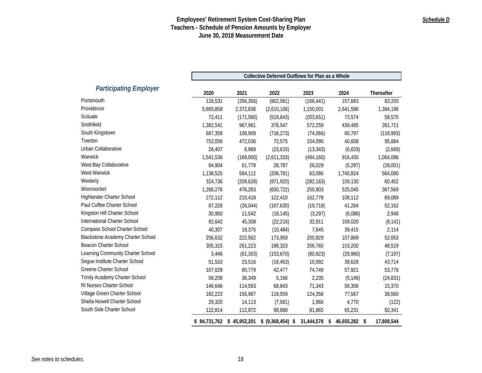|                                   | Collective Deferred Outflows for Plan as a Whole |              |                   |            |                     |            |
|-----------------------------------|--------------------------------------------------|--------------|-------------------|------------|---------------------|------------|
| <b>Participating Employer</b>     | 2020                                             | 2021         | 2022              | 2023       | 2024                | Thereafter |
| Portsmouth                        | 126,531                                          | (256, 356)   | (802, 561)        | (166, 441) | 157,683             | 83,203     |
| Providence                        | 5,865,858                                        | 2,372,836    | (2,610,106)       | 1,150,001  | 2,641,586           | 1,384,196  |
| Scituate                          | 72,411                                           | (171, 580)   | (519, 643)        | (203, 651) | 73,574              | 58,570     |
| Smithfield                        | 1,382,541                                        | 967,961      | 376,547           | 572,259    | 439,485             | 261,711    |
| South Kingstown                   | 687,359                                          | 108,909      | (716, 273)        | (74,066)   | 60,797              | (118,993)  |
| Tiverton                          | 752,056                                          | 472,036      | 72,575            | 154,090    | 40,608              | 95,884     |
| Urban Collaborative               | 28,407                                           | 6,968        | (23, 615)         | (13, 343)  | (6,633)             | (2,669)    |
| Warwick                           | 1,541,536                                        | (169,900)    | (2,611,333)       | (494, 160) | 916,430             | 1,064,086  |
| West Bay Collaborative            | 84,904                                           | 61,778       | 28,787            | 26,029     | (5, 297)            | (28,001)   |
| West Warwick                      | 1,138,525                                        | 584,112      | (206, 781)        | 63,086     | 1,745,824           | 564,080    |
| Westerly                          | 324,736                                          | (209, 628)   | (971, 920)        | (282, 163) | 109,130             | 60,452     |
| Woonsocket                        | 1,266,276                                        | 476,263      | (650, 722)        | 250,903    | 525,045             | 367,569    |
| Highlander Charter School         | 272,112                                          | 210,418      | 122,410           | 162,778    | 108,112             | 69,089     |
| Paul Cuffee Charter School        | 87,228                                           | (26, 044)    | (187, 630)        | (19, 718)  | 41,284              | 52,162     |
| Kingston Hill Charter School      | 30,950                                           | 11,542       | (16, 145)         | (3, 297)   | (6,086)             | 2,948      |
| International Charter School      | 92,642                                           | 45,308       | (22, 216)         | 32,911     | 109,020             | (9, 141)   |
| Compass School Charter School     | 40,307                                           | 19,375       | (10, 484)         | 7,645      | 39,415              | 2,114      |
| Blackstone Academy Charter School | 256,632                                          | 222,562      | 173,959           | 200,829    | 107,869             | 52,653     |
| Beacon Charter School             | 305,315                                          | 261,223      | 198,323           | 206,760    | 103,200             | 48,519     |
| Learning Community Charter School | 3,446                                            | (61, 303)    | (153, 670)        | (80, 823)  | (29,960)            | (7, 197)   |
| Segue Institute Charter School    | 51,533                                           | 23,516       | (16, 453)         | 10,992     | 38,628              | 43,714     |
| Greene Charter School             | 107,629                                          | 80,779       | 42,477            | 74,749     | 57,921              | 53,778     |
| Trinity Academy Charter School    | 58,208                                           | 36,349       | 5,166             | 2,235      | (5, 146)            | (24, 831)  |
| RI Nurses Charter School          | 146,646                                          | 114,583      | 68,843            | 71,343     | 56,306              | 15,370     |
| Village Green Charter School      | 182,223                                          | 155,987      | 118,559           | 124,356    | 77,567              | 38,560     |
| Sheila Nowell Charter School      | 29,320                                           | 14,113       | (7, 581)          | 1,966      | 4,770               | (122)      |
| South Side Charter School         | 122,814                                          | 112,872      | 98,688            | 91,865     | 65,231              | 50,341     |
|                                   | \$84,731,762                                     | \$45,952,201 | \$ (9,368,454) \$ | 31,444,578 | \$<br>46,655,282 \$ | 17,808,544 |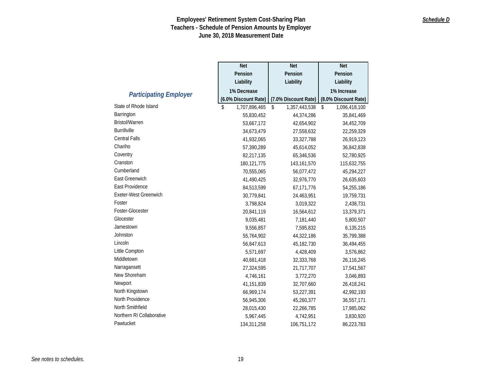|                               | <b>Net</b>           | <b>Net</b>           | <b>Net</b>           |
|-------------------------------|----------------------|----------------------|----------------------|
|                               | Pension              | Pension              | Pension              |
|                               | Liability            | Liability            | Liability            |
|                               | 1% Decrease          |                      | 1% Increase          |
| <b>Participating Employer</b> | (6.0% Discount Rate) | (7.0% Discount Rate) | (8.0% Discount Rate) |
| State of Rhode Island         | \$<br>1,707,896,465  | \$<br>1,357,443,538  | \$<br>1,096,418,100  |
| Barrington                    | 55,830,452           | 44,374,286           | 35,841,469           |
| <b>Bristol/Warren</b>         | 53,667,172           | 42,654,902           | 34,452,709           |
| <b>Burrillville</b>           | 34,673,479           | 27,558,632           | 22,259,329           |
| <b>Central Falls</b>          | 41,932,065           | 33,327,788           | 26,919,123           |
| Chariho                       | 57,390,289           | 45,614,052           | 36,842,838           |
| Coventry                      | 82,217,135           | 65,346,536           | 52,780,925           |
| Cranston                      | 180,121,775          | 143, 161, 570        | 115,632,755          |
| Cumberland                    | 70,555,065           | 56,077,472           | 45,294,227           |
| East Greenwich                | 41,490,425           | 32,976,770           | 26,635,603           |
| East Providence               | 84,513,599           | 67,171,776           | 54,255,186           |
| Exeter-West Greenwich         | 30,779,841           | 24,463,951           | 19,759,731           |
| Foster                        | 3,798,824            | 3,019,322            | 2,438,731            |
| Foster-Glocester              | 20,841,119           | 16,564,612           | 13,379,371           |
| Glocester                     | 9,035,481            | 7,181,440            | 5,800,507            |
| Jamestown                     | 9,556,857            | 7,595,832            | 6,135,215            |
| Johnston                      | 55,764,902           | 44,322,186           | 35,799,388           |
| Lincoln                       | 56,847,613           | 45,182,730           | 36,494,455           |
| Little Compton                | 5,571,697            | 4,428,409            | 3,576,862            |
| Middletown                    | 40,681,418           | 32,333,768           | 26,116,245           |
| Narragansett                  | 27,324,595           | 21,717,707           | 17,541,567           |
| New Shoreham                  | 4,746,161            | 3,772,270            | 3,046,893            |
| Newport                       | 41, 151, 839         | 32,707,660           | 26,418,241           |
| North Kingstown               | 66,969,174           | 53,227,391           | 42,992,193           |
| North Providence              | 56,945,306           | 45,260,377           | 36,557,171           |
| North Smithfield              | 28,015,430           | 22,266,785           | 17,985,062           |
| Northern RI Collaborative     | 5,967,445            | 4,742,951            | 3,830,920            |
| Pawtucket                     | 134,311,258          | 106,751,172          | 86,223,783           |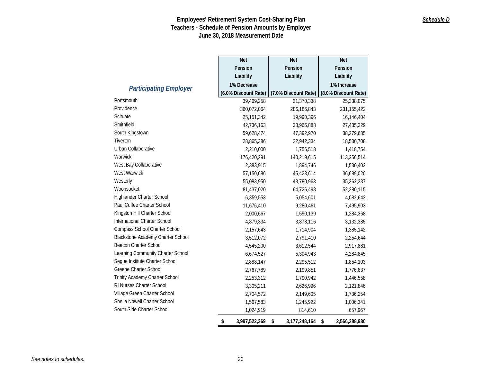|                                          | <b>Net</b>           | <b>Net</b>           | <b>Net</b>           |
|------------------------------------------|----------------------|----------------------|----------------------|
|                                          | Pension              | Pension              | Pension              |
|                                          | Liability            | Liability            | Liability            |
| <b>Participating Employer</b>            | 1% Decrease          |                      | 1% Increase          |
|                                          | (6.0% Discount Rate) | (7.0% Discount Rate) | (8.0% Discount Rate) |
| Portsmouth                               | 39,469,258           | 31,370,338           | 25,338,075           |
| Providence                               | 360,072,064          | 286,186,843          | 231, 155, 422        |
| Scituate                                 | 25, 151, 342         | 19,990,396           | 16,146,404           |
| Smithfield                               | 42,736,163           | 33,966,888           | 27,435,329           |
| South Kingstown                          | 59,628,474           | 47,392,970           | 38,279,685           |
| Tiverton                                 | 28,865,386           | 22,942,334           | 18,530,708           |
| Urban Collaborative                      | 2,210,000            | 1,756,518            | 1,418,754            |
| Warwick                                  | 176,420,291          | 140,219,615          | 113,256,514          |
| West Bay Collaborative                   | 2,383,915            | 1,894,746            | 1,530,402            |
| <b>West Warwick</b>                      | 57,150,686           | 45,423,614           | 36,689,020           |
| Westerly                                 | 55,083,950           | 43,780,963           | 35,362,237           |
| Woonsocket                               | 81,437,020           | 64,726,498           | 52,280,115           |
| Highlander Charter School                | 6,359,553            | 5,054,601            | 4,082,642            |
| Paul Cuffee Charter School               | 11,676,410           | 9,280,461            | 7,495,903            |
| Kingston Hill Charter School             | 2,000,667            | 1,590,139            | 1,284,368            |
| International Charter School             | 4,879,334            | 3,878,116            | 3,132,385            |
| Compass School Charter School            | 2,157,643            | 1,714,904            | 1,385,142            |
| <b>Blackstone Academy Charter School</b> | 3,512,072            | 2,791,410            | 2,254,644            |
| Beacon Charter School                    | 4,545,200            | 3,612,544            | 2,917,881            |
| Learning Community Charter School        | 6,674,527            | 5,304,943            | 4,284,845            |
| Segue Institute Charter School           | 2,888,147            | 2,295,512            | 1,854,103            |
| Greene Charter School                    | 2,767,789            | 2,199,851            | 1,776,837            |
| Trinity Academy Charter School           | 2,253,312            | 1,790,942            | 1,446,558            |
| RI Nurses Charter School                 | 3,305,211            | 2,626,996            | 2,121,846            |
| Village Green Charter School             | 2,704,572            | 2,149,605            | 1,736,254            |
| Sheila Nowell Charter School             | 1,567,583            | 1,245,922            | 1,006,341            |
| South Side Charter School                | 1,024,919            | 814,610              | 657,967              |
|                                          | \$<br>3,997,522,369  | \$<br>3,177,248,164  | \$<br>2,566,288,980  |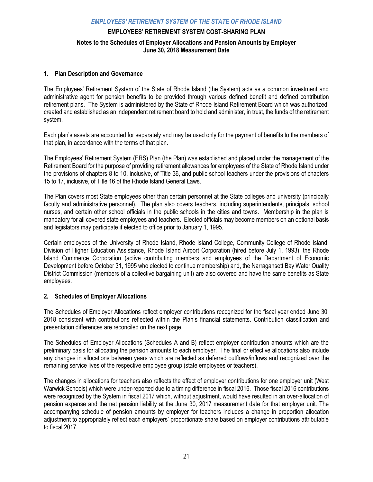## **EMPLOYEES' RETIREMENT SYSTEM COST-SHARING PLAN Notes to the Schedules of Employer Allocations and Pension Amounts by Employer June 30, 2018 Measurement Date**

## **1. Plan Description and Governance**

The Employees' Retirement System of the State of Rhode Island (the System) acts as a common investment and administrative agent for pension benefits to be provided through various defined benefit and defined contribution retirement plans. The System is administered by the State of Rhode Island Retirement Board which was authorized, created and established as an independent retirement board to hold and administer, in trust, the funds of the retirement system.

Each plan's assets are accounted for separately and may be used only for the payment of benefits to the members of that plan, in accordance with the terms of that plan.

The Employees' Retirement System (ERS) Plan (the Plan) was established and placed under the management of the Retirement Board for the purpose of providing retirement allowances for employees of the State of Rhode Island under the provisions of chapters 8 to 10, inclusive, of Title 36, and public school teachers under the provisions of chapters 15 to 17, inclusive, of Title 16 of the Rhode Island General Laws.

The Plan covers most State employees other than certain personnel at the State colleges and university (principally faculty and administrative personnel). The plan also covers teachers, including superintendents, principals, school nurses, and certain other school officials in the public schools in the cities and towns. Membership in the plan is mandatory for all covered state employees and teachers. Elected officials may become members on an optional basis and legislators may participate if elected to office prior to January 1, 1995.

Certain employees of the University of Rhode Island, Rhode Island College, Community College of Rhode Island, Division of Higher Education Assistance, Rhode Island Airport Corporation (hired before July 1, 1993), the Rhode Island Commerce Corporation (active contributing members and employees of the Department of Economic Development before October 31, 1995 who elected to continue membership) and, the Narragansett Bay Water Quality District Commission (members of a collective bargaining unit) are also covered and have the same benefits as State employees.

## **2. Schedules of Employer Allocations**

The Schedules of Employer Allocations reflect employer contributions recognized for the fiscal year ended June 30, 2018 consistent with contributions reflected within the Plan's financial statements. Contribution classification and presentation differences are reconciled on the next page.

The Schedules of Employer Allocations (Schedules A and B) reflect employer contribution amounts which are the preliminary basis for allocating the pension amounts to each employer. The final or effective allocations also include any changes in allocations between years which are reflected as deferred outflows/inflows and recognized over the remaining service lives of the respective employee group (state employees or teachers).

The changes in allocations for teachers also reflects the effect of employer contributions for one employer unit (West Warwick Schools) which were under-reported due to a timing difference in fiscal 2016. Those fiscal 2016 contributions were recognized by the System in fiscal 2017 which, without adjustment, would have resulted in an over-allocation of pension expense and the net pension liability at the June 30, 2017 measurement date for that employer unit. The accompanying schedule of pension amounts by employer for teachers includes a change in proportion allocation adjustment to appropriately reflect each employers' proportionate share based on employer contributions attributable to fiscal 2017.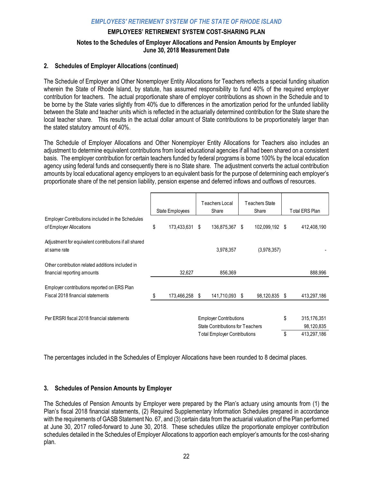## **EMPLOYEES' RETIREMENT SYSTEM COST-SHARING PLAN**

## **Notes to the Schedules of Employer Allocations and Pension Amounts by Employer June 30, 2018 Measurement Date**

## **2. Schedules of Employer Allocations (continued)**

The Schedule of Employer and Other Nonemployer Entity Allocations for Teachers reflects a special funding situation wherein the State of Rhode Island, by statute, has assumed responsibility to fund 40% of the required employer contribution for teachers. The actual proportionate share of employer contributions as shown in the Schedule and to be borne by the State varies slightly from 40% due to differences in the amortization period for the unfunded liability between the State and teacher units which is reflected in the actuarially determined contribution for the State share the local teacher share. This results in the actual dollar amount of State contributions to be proportionately larger than the stated statutory amount of 40%.

The Schedule of Employer Allocations and Other Nonemployer Entity Allocations for Teachers also includes an adjustment to determine equivalent contributions from local educational agencies if all had been shared on a consistent basis. The employer contribution for certain teachers funded by federal programs is borne 100% by the local education agency using federal funds and consequently there is no State share. The adjustment converts the actual contribution amounts by local educational agency employers to an equivalent basis for the purpose of determining each employer's proportionate share of the net pension liability, pension expense and deferred inflows and outflows of resources.

|                                                                                 |    | State Employees | Teachers Local<br>Share                                                                                  | <b>Teachers State</b><br>Share |          | Total ERS Plan                           |
|---------------------------------------------------------------------------------|----|-----------------|----------------------------------------------------------------------------------------------------------|--------------------------------|----------|------------------------------------------|
| Employer Contributions included in the Schedules<br>of Employer Allocations     | \$ | 173,433,631 \$  | 136,875,367 \$                                                                                           | 102,099,192 \$                 |          | 412,408,190                              |
| Adjustment for equivalent contributions if all shared<br>at same rate           |    |                 | 3,978,357                                                                                                | (3,978,357)                    |          |                                          |
| Other contribution related additions included in<br>financial reporting amounts |    | 32,627          | 856,369                                                                                                  |                                |          | 888,996                                  |
| Employer contributions reported on ERS Plan<br>Fiscal 2018 financial statements | S  | 173,466,258 \$  | 141,710,093 \$                                                                                           | 98,120,835 \$                  |          | 413,297,186                              |
| Per ERSRI fiscal 2018 financial statements                                      |    |                 | <b>Employer Contributions</b><br>State Contributions for Teachers<br><b>Total Employer Contributions</b> |                                | \$<br>\$ | 315,176,351<br>98,120,835<br>413,297,186 |

The percentages included in the Schedules of Employer Allocations have been rounded to 8 decimal places.

## **3. Schedules of Pension Amounts by Employer**

The Schedules of Pension Amounts by Employer were prepared by the Plan's actuary using amounts from (1) the Plan's fiscal 2018 financial statements, (2) Required Supplementary Information Schedules prepared in accordance with the requirements of GASB Statement No. 67, and (3) certain data from the actuarial valuation of the Plan performed at June 30, 2017 rolled-forward to June 30, 2018. These schedules utilize the proportionate employer contribution schedules detailed in the Schedules of Employer Allocations to apportion each employer's amounts for the cost-sharing plan.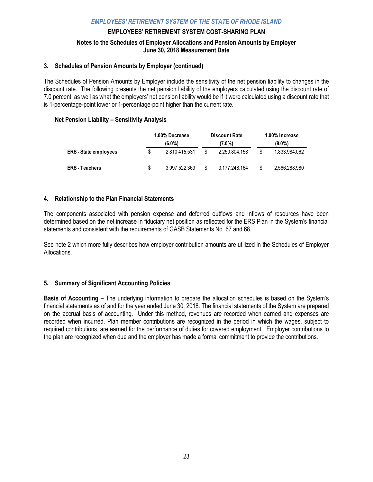#### **EMPLOYEES' RETIREMENT SYSTEM COST-SHARING PLAN**

## **Notes to the Schedules of Employer Allocations and Pension Amounts by Employer June 30, 2018 Measurement Date**

#### **3. Schedules of Pension Amounts by Employer (continued)**

The Schedules of Pension Amounts by Employer include the sensitivity of the net pension liability to changes in the discount rate. The following presents the net pension liability of the employers calculated using the discount rate of 7.0 percent, as well as what the employers' net pension liability would be if it were calculated using a discount rate that is 1-percentage-point lower or 1-percentage-point higher than the current rate.

#### **Net Pension Liability – Sensitivity Analysis**

|                              | 1.00% Decrease | <b>Discount Rate</b> | 1.00% Increase      |
|------------------------------|----------------|----------------------|---------------------|
|                              | (6.0%)         | (7.0%)               | $(8.0\%)$           |
| <b>ERS</b> - State employees | 2.810.415.531  | 2.250.804.158        | \$<br>1.833.984.062 |
| <b>ERS</b> - Teachers        | 3.997.522.369  | 3,177,248,164        | \$<br>2.566.288.980 |

## **4. Relationship to the Plan Financial Statements**

The components associated with pension expense and deferred outflows and inflows of resources have been determined based on the net increase in fiduciary net position as reflected for the ERS Plan in the System's financial statements and consistent with the requirements of GASB Statements No. 67 and 68.

See note 2 which more fully describes how employer contribution amounts are utilized in the Schedules of Employer Allocations.

## **5. Summary of Significant Accounting Policies**

**Basis of Accounting –** The underlying information to prepare the allocation schedules is based on the System's financial statements as of and for the year ended June 30, 2018. The financial statements of the System are prepared on the accrual basis of accounting. Under this method, revenues are recorded when earned and expenses are recorded when incurred. Plan member contributions are recognized in the period in which the wages, subject to required contributions, are earned for the performance of duties for covered employment. Employer contributions to the plan are recognized when due and the employer has made a formal commitment to provide the contributions.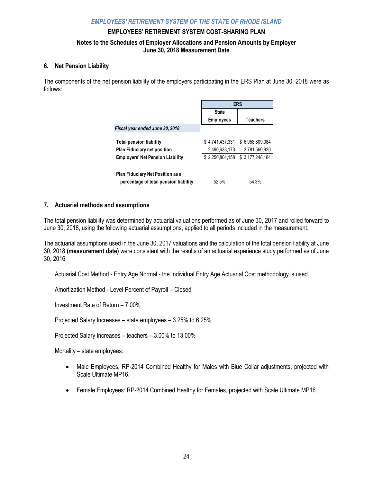#### **EMPLOYEES' RETIREMENT SYSTEM COST-SHARING PLAN**

## **Notes to the Schedules of Employer Allocations and Pension Amounts by Employer June 30, 2018 Measurement Date**

#### **6. Net Pension Liability**

The components of the net pension liability of the employers participating in the ERS Plan at June 30, 2018 were as follows:

|                                                                           | <b>ERS</b>       |                  |  |  |
|---------------------------------------------------------------------------|------------------|------------------|--|--|
|                                                                           | <b>State</b>     |                  |  |  |
|                                                                           | <b>Employees</b> | Teachers         |  |  |
| Fiscal year ended June 30, 2018                                           |                  |                  |  |  |
| <b>Total pension liability</b>                                            | \$4,741,437,331  | \$6.958.809.084  |  |  |
| <b>Plan Fiduciary net position</b>                                        | 2.490.633.173    | 3.781.560.920    |  |  |
| <b>Employers' Net Pension Liability</b>                                   | \$2.250.804.158  | \$ 3.177.248.164 |  |  |
| Plan Fiduciary Net Position as a<br>percentage of total pension liability | 52.5%            | 54.3%            |  |  |

## **7. Actuarial methods and assumptions**

The total pension liability was determined by actuarial valuations performed as of June 30, 2017 and rolled forward to June 30, 2018, using the following actuarial assumptions, applied to all periods included in the measurement.

The actuarial assumptions used in the June 30, 2017 valuations and the calculation of the total pension liability at June 30, 2018 **(measurement date)** were consistent with the results of an actuarial experience study performed as of June 30, 2016.

Actuarial Cost Method - Entry Age Normal - the Individual Entry Age Actuarial Cost methodology is used.

Amortization Method - Level Percent of Payroll – Closed

Investment Rate of Return – 7.00%

Projected Salary Increases – state employees – 3.25% to 6.25%

Projected Salary Increases – teachers – 3.00% to 13.00%

Mortality – state employees:

- Male Employees, RP-2014 Combined Healthy for Males with Blue Collar adjustments, projected with Scale Ultimate MP16.
- Female Employees: RP-2014 Combined Healthy for Females, projected with Scale Ultimate MP16.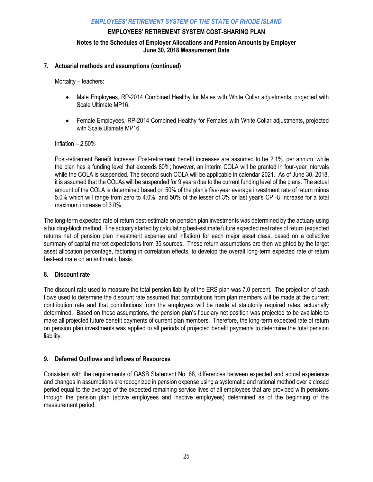**EMPLOYEES' RETIREMENT SYSTEM COST-SHARING PLAN** 

## **Notes to the Schedules of Employer Allocations and Pension Amounts by Employer June 30, 2018 Measurement Date**

## **7. Actuarial methods and assumptions (continued)**

Mortality – teachers:

- Male Employees, RP-2014 Combined Healthy for Males with White Collar adjustments, projected with Scale Ultimate MP16.
- Female Employees, RP-2014 Combined Healthy for Females with White Collar adjustments, projected with Scale Ultimate MP16

Inflation – 2.50%

Post-retirement Benefit Increase: Post-retirement benefit increases are assumed to be 2.1%, per annum, while the plan has a funding level that exceeds 80%; however, an interim COLA will be granted in four-year intervals while the COLA is suspended. The second such COLA will be applicable in calendar 2021. As of June 30, 2018, it is assumed that the COLAs will be suspended for 9 years due to the current funding level of the plans. The actual amount of the COLA is determined based on 50% of the plan's five-year average investment rate of return minus 5.0% which will range from zero to 4.0%, and 50% of the lesser of 3% or last year's CPI-U increase for a total maximum increase of 3.0%.

The long-term expected rate of return best-estimate on pension plan investments was determined by the actuary using a building-block method. The actuary started by calculating best-estimate future expected real rates of return (expected returns net of pension plan investment expense and inflation) for each major asset class, based on a collective summary of capital market expectations from 35 sources. These return assumptions are then weighted by the target asset allocation percentage, factoring in correlation effects, to develop the overall long-term expected rate of return best-estimate on an arithmetic basis.

## **8. Discount rate**

The discount rate used to measure the total pension liability of the ERS plan was 7.0 percent. The projection of cash flows used to determine the discount rate assumed that contributions from plan members will be made at the current contribution rate and that contributions from the employers will be made at statutorily required rates, actuarially determined. Based on those assumptions, the pension plan's fiduciary net position was projected to be available to make all projected future benefit payments of current plan members. Therefore, the long-term expected rate of return on pension plan investments was applied to all periods of projected benefit payments to determine the total pension liability.

## **9. Deferred Outflows and Inflows of Resources**

Consistent with the requirements of GASB Statement No. 68, differences between expected and actual experience and changes in assumptions are recognized in pension expense using a systematic and rational method over a closed period equal to the average of the expected remaining service lives of all employees that are provided with pensions through the pension plan (active employees and inactive employees) determined as of the beginning of the measurement period.